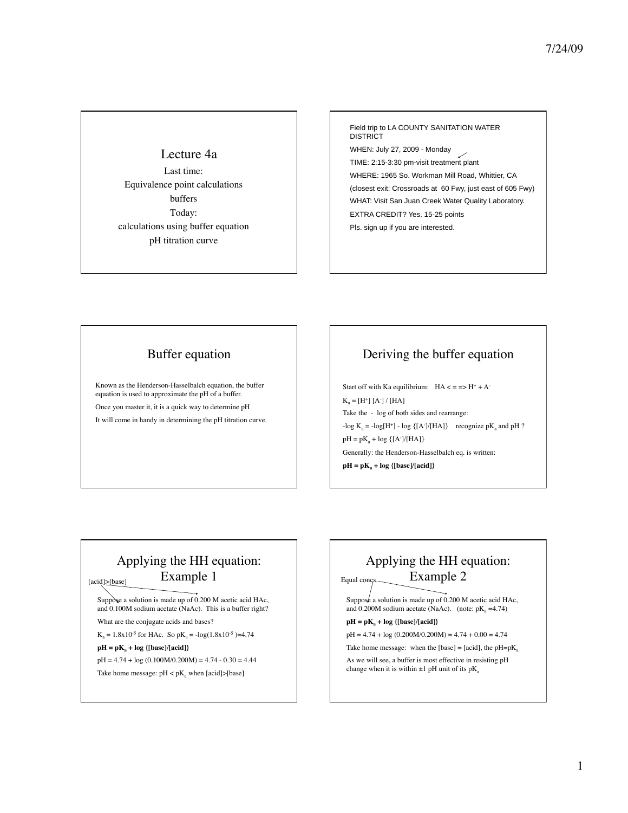### Lecture 4a

Last time: Equivalence point calculations buffers Today: calculations using buffer equation pH titration curve

Field trip to LA COUNTY SANITATION WATER **DISTRICT** WHEN: July 27, 2009 - Monday TIME: 2:15-3:30 pm-visit treatment plant WHERE: 1965 So. Workman Mill Road, Whittier, CA (closest exit: Crossroads at 60 Fwy, just east of 605 Fwy) WHAT: Visit San Juan Creek Water Quality Laboratory. EXTRA CREDIT? Yes. 15-25 points Pls. sign up if you are interested.

## Buffer equation

Known as the Henderson-Hasselbalch equation, the buffer equation is used to approximate the pH of a buffer. Once you master it, it is a quick way to determine pH It will come in handy in determining the pH titration curve.

# Deriving the buffer equation

Start off with Ka equilibrium:  $HA \leq z \Rightarrow H^* + A^ K_a = [H^+] [A^-] / [HA]$ Take the - log of both sides and rearrange:  $-\log K_a = -\log[H^+] - \log \{(A^-)/(HA]\}$  recognize p $K_a$  and pH ?  $pH = pK_a + log {[A<sup>-</sup>]/[HA]}$ Generally: the Henderson-Hasselbalch eq. is written:  $pH = pK_a + log {[base]/[acid]}$ 

# Applying the HH equation: Example 1

[acid]>[base]

Suppose a solution is made up of 0.200 M acetic acid HAc, and 0.100M sodium acetate (NaAc). This is a buffer right? What are the conjugate acids and bases?

 $K_a = 1.8x10^{-5}$  for HAc. So  $pK_a = -log(1.8x10^{-5}) = 4.74$ 

#### $pH = pK_a + log {[base]/[acid]}$

 $pH = 4.74 + log (0.100 M/0.200 M) = 4.74 - 0.30 = 4.44$ 

Take home message:  $pH < pK_a$  when [acid]>[base]

### Applying the HH equation: Example 2 Equal concs.

Suppose a solution is made up of 0.200 M acetic acid HAc, and 0.200M sodium acetate (NaAc). (note:  $pK_a = 4.74$ )

#### $pH = pK_a + log {[base]/[acid]}$

 $pH = 4.74 + log (0.200M/0.200M) = 4.74 + 0.00 = 4.74$ 

Take home message: when the [base] = [acid], the  $pH=pK_a$ 

As we will see, a buffer is most effective in resisting pH change when it is within  $\pm 1$  pH unit of its pK<sub>a</sub>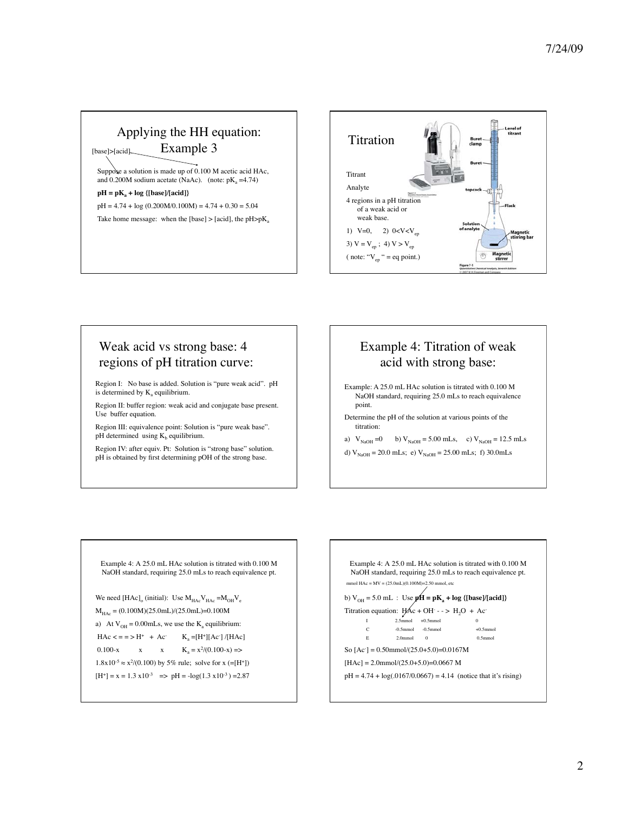### Applying the HH equation: Example 3 Suppose a solution is made up of 0.100 M acetic acid HAc, and 0.200M sodium acetate (NaAc). (note:  $pK_a = 4.74$ )  $pH = pK_a + log {[base]/[acid]}$  $pH = 4.74 + log (0.200M/0.100M) = 4.74 + 0.30 = 5.04$ Take home message: when the [base]  $>$  [acid], the pH $>$ pK<sub>a</sub> [base]>[acid].



# Weak acid vs strong base: 4 regions of pH titration curve:

Region I: No base is added. Solution is "pure weak acid". pH is determined by  $K_a$  equilibrium.

Region II: buffer region: weak acid and conjugate base present. Use buffer equation.

Region III: equivalence point: Solution is "pure weak base". pH determined using  $K_b$  equilibrium.

Region IV: after equiv. Pt: Solution is "strong base" solution. pH is obtained by first determining pOH of the strong base.

## Example 4: Titration of weak acid with strong base:

- Example: A 25.0 mL HAc solution is titrated with 0.100 M NaOH standard, requiring 25.0 mLs to reach equivalence point.
- Determine the pH of the solution at various points of the titration:
- a)  $V_{NaOH} = 0$  b)  $V_{NaOH} = 5.00$  mLs, c)  $V_{NaOH} = 12.5$  mLs
- d)  $V_{NaOH} = 20.0$  mLs; e)  $V_{NaOH} = 25.00$  mLs; f) 30.0mLs

Example 4: A 25.0 mL HAc solution is titrated with 0.100 M NaOH standard, requiring 25.0 mLs to reach equivalence pt.

```
We need [{\rm HAc}]_0 (initial): Use M_{\rm HAc}V_{\rm HAc} = M_{\rm OH}V_e
```

$$
M_{HAc} = (0.100M)(25.0mL)/(25.0mL) = 0.100M
$$

a) At V<sub>OH</sub> = 0.00mLs, we use the K<sub>a</sub> equilibrium:  
HAc 
$$
\langle
$$
 = = > H<sup>+</sup> + Ac  $K_a$  = [H<sup>+</sup>][Ac]/[HAc]

0.100-x x  $x = K_a = x^2/(0.100-x)$  =>

 $1.8x10^{-5} \approx x^2/(0.100)$  by 5% rule; solve for x (=[H<sup>+</sup>])

 $[H^+] = x = 1.3 \text{ x} 10^{-3} \implies pH = -\log(1.3 \text{ x} 10^{-3}) = 2.87$ 

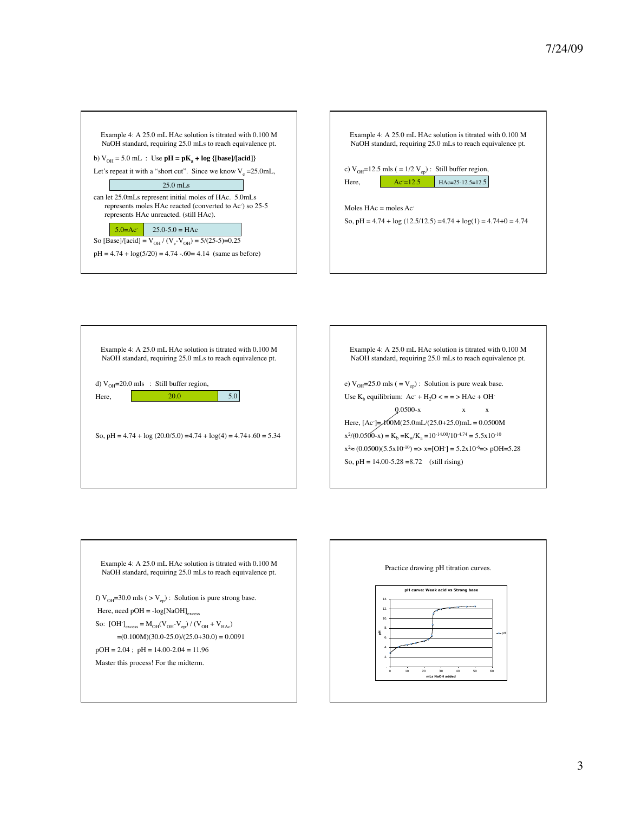